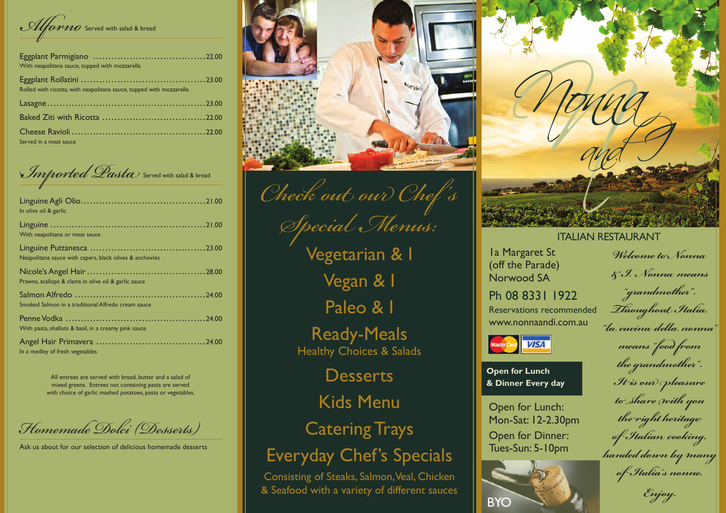Alforno Served with salad & bread

| With neapolitana sauce, topped with mozzarella                      |  |
|---------------------------------------------------------------------|--|
| Rolled with ricotta, with neapolitana sauce, topped with mozzarella |  |
|                                                                     |  |
|                                                                     |  |
| Served in a meat sauce                                              |  |

Imported Dasta Served with salad & bread

| In olive oil & garlic                                   |  |
|---------------------------------------------------------|--|
| With neapolitana or meat sauce                          |  |
| Neapolitana sauce with capers, black olives & anchovies |  |
| Prawns, scallops & clams in olive oil & garlic sauce    |  |
| Smoked Salmon in a traditional Alfredo cream sauce      |  |
| With pasta, shallots & basil, in a creamy pink sauce    |  |
| In a medley of fresh vegetables                         |  |

All entrees are served with bread, butter and a salad of mixed greens. Entrees not containing pasta are served with choice of garlic mashed potatoes, pasta or vegetables.

Homemade Dolci (Desserts)

Ask us about for our selection of delicious homemade desserts



Check out our Chef's Special Menus:

Vegetarian & I Vegan & I Paleo & I

**Ready-Meals** Healthy Choices & Salads

**Desserts** 

**Kids Menu** 

**Catering Trays** 

**Everyday Chef's Specials** 

Consisting of Steaks, Salmon, Veal, Chicken & Seafood with a variety of different sauces



## **ITALIAN RESTAURANT**

Ia Margaret St (off the Parade) Norwood SA

Welcome to Nonna & J. Nonna means

Ph 08 8331 1922 Reservations recommended www.nonnaandi.com.au



**Open for Lunch** & Dinner Every day

Open for Lunch: Mon-Sat: 12-2.30pm Open for Dinner: Tues-Sun: 5-10pm



"grandmother". Throughout Italia, "la cucina della nonna

means "food from the grandmother". It is our pleasure to share with you the right heritage of Italian cooking, handed down by many of Italia's nonne.

Enjoy.